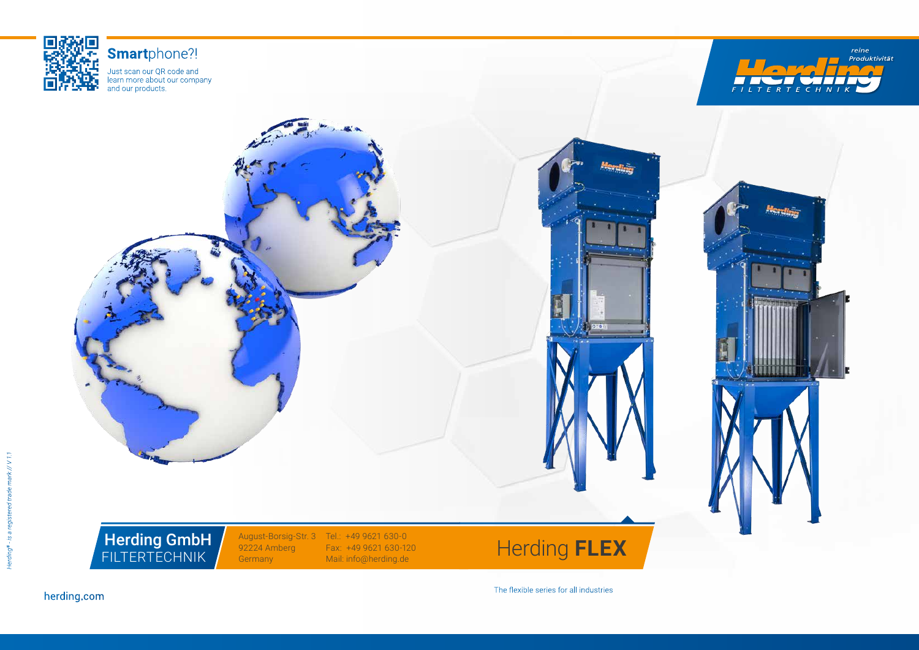

Herding GmbH FILTERTECHNIK







# **Smart**phone?!

August-Borsig-Str. 3 Tel.: +49 9621 630-0 Fax: +49 9621 630-120 Mail: info@herding.de

Just scan our QR code and learn more about our company and our products.

> 92224 Amberg Germany